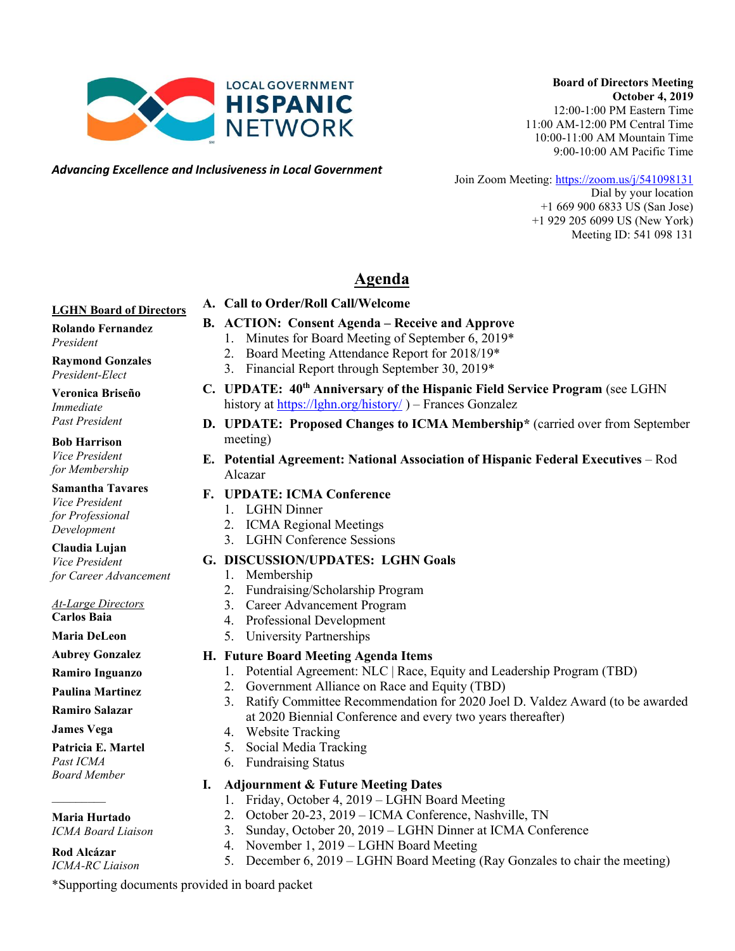

#### **Board of Directors Meeting October 4, 2019**

12:00-1:00 PM Eastern Time 11:00 AM-12:00 PM Central Time 10:00-11:00 AM Mountain Time 9:00-10:00 AM Pacific Time

*Advancing Excellence and Inclusiveness in Local Government*

Join Zoom Meeting:<https://zoom.us/j/541098131>

Dial by your location +1 669 900 6833 US (San Jose) +1 929 205 6099 US (New York) Meeting ID: 541 098 131

# **Agenda**

**B. ACTION: Consent Agenda – Receive and Approve**  1. Minutes for Board Meeting of September 6, 2019\* 2. Board Meeting Attendance Report for 2018/19\*

#### **LGHN Board of Directors**

#### **Rolando Fernandez** *President*

**Raymond Gonzales** *President-Elect*

#### **Veronica Briseño** *Immediate Past President*

#### **Bob Harrison** *Vice President*

*for Membership*

#### **Samantha Tavares** *Vice President for Professional Development*

#### **Claudia Lujan** *Vice President*

*for Career Advancement*

*At-Large Directors*

**Carlos Baia**

**Maria DeLeon**

#### **Aubrey Gonzalez**

- **Ramiro Inguanzo**
- **Paulina Martinez**
- **Ramiro Salazar**
- **James Vega**

 $\frac{1}{2}$ 

### **Patricia E. Martel**

*Past ICMA Board Member*

# **Maria Hurtado**

*ICMA Board Liaison*

### **Rod Alcázar**

*ICMA-RC Liaison*

# meeting)

**E. Potential Agreement: National Association of Hispanic Federal Executives** – Rod Alcazar

# **F. UPDATE: ICMA Conference**

- 1. LGHN Dinner
- 2. ICMA Regional Meetings
- 3. LGHN Conference Sessions

# **G. DISCUSSION/UPDATES: LGHN Goals**

- 1. Membership
- 2. Fundraising/Scholarship Program
- 3. Career Advancement Program
- 4. Professional Development
- 5. University Partnerships

# **H. Future Board Meeting Agenda Items**

- 1. Potential Agreement: NLC | Race, Equity and Leadership Program (TBD)
- 2. Government Alliance on Race and Equity (TBD)
- 3. Ratify Committee Recommendation for 2020 Joel D. Valdez Award (to be awarded at 2020 Biennial Conference and every two years thereafter)
- 4. Website Tracking
- 5. Social Media Tracking
- 6. Fundraising Status

### **I. Adjournment & Future Meeting Dates**

- 1. Friday, October 4, 2019 LGHN Board Meeting
- 2. October 20-23, 2019 ICMA Conference, Nashville, TN
- 3. Sunday, October 20, 2019 LGHN Dinner at ICMA Conference
- 4. November 1, 2019 LGHN Board Meeting
- 5. December 6, 2019 LGHN Board Meeting (Ray Gonzales to chair the meeting)

\*Supporting documents provided in board packet

# **C. UPDATE: 40th Anniversary of the Hispanic Field Service Program** (see LGHN

**A. Call to Order/Roll Call/Welcome** 

- **D. UPDATE: Proposed Changes to ICMA Membership\*** (carried over from September
- 

- 
- 

# 3. Financial Report through September 30, 2019\* history at<https://lghn.org/history/> ) – Frances Gonzalez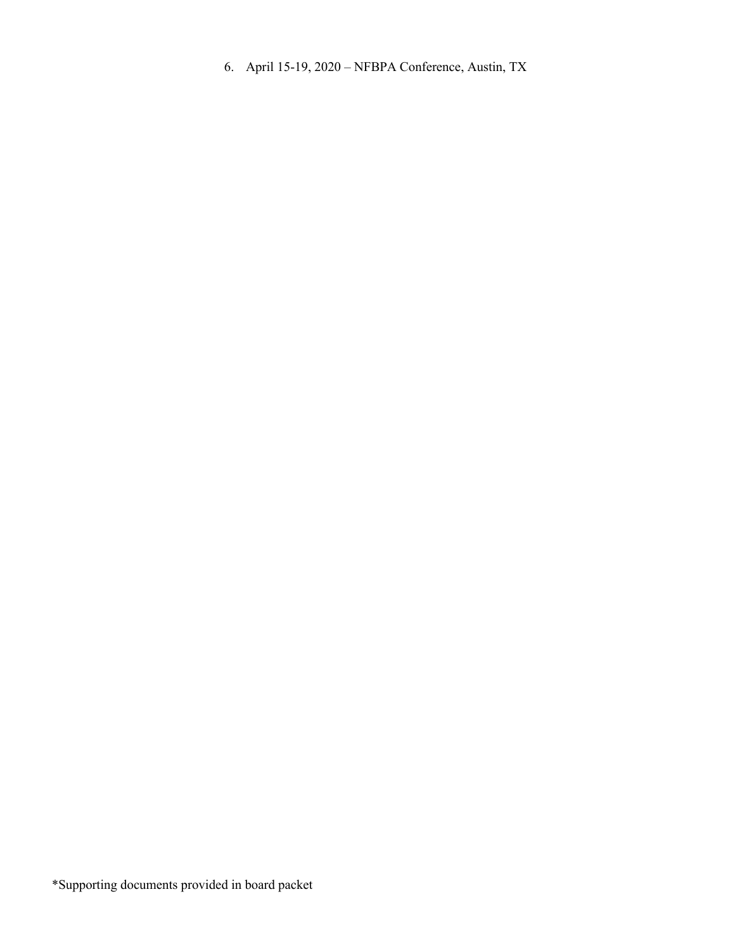6. April 15-19, 2020 – NFBPA Conference, Austin, TX

\*Supporting documents provided in board packet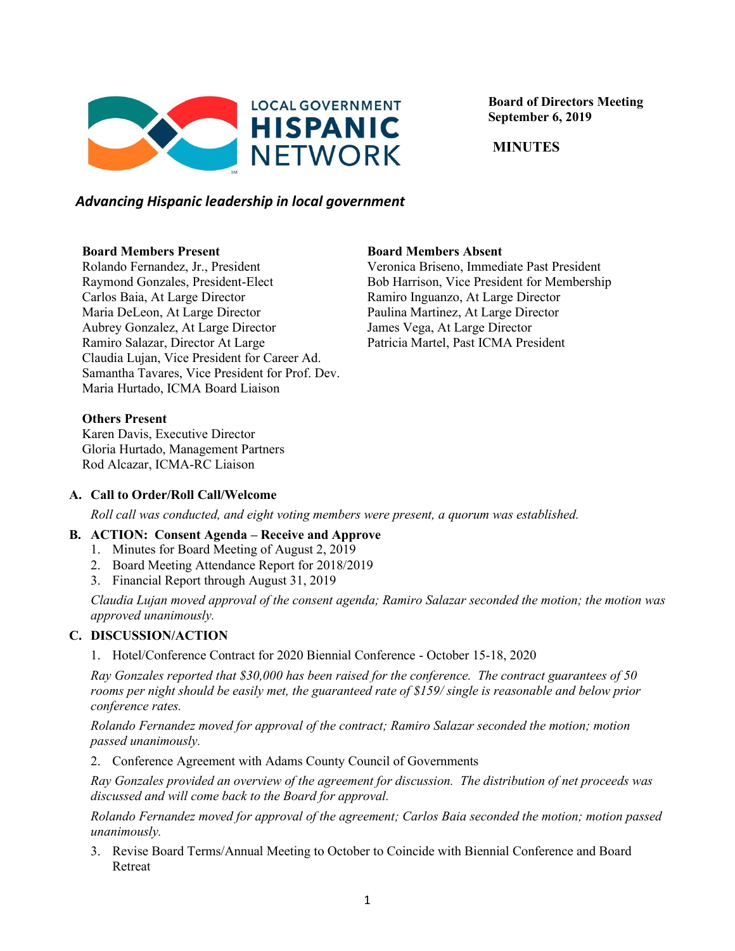

 **Board of Directors Meeting September 6, 2019**

 **MINUTES**

## *Advancing Hispanic leadership in local government*

#### **Board Members Present**

Rolando Fernandez, Jr., President Raymond Gonzales, President-Elect Carlos Baia, At Large Director Maria DeLeon, At Large Director Aubrey Gonzalez, At Large Director Ramiro Salazar, Director At Large Claudia Lujan, Vice President for Career Ad. Samantha Tavares, Vice President for Prof. Dev. Maria Hurtado, ICMA Board Liaison

**Board Members Absent**

Veronica Briseno, Immediate Past President Bob Harrison, Vice President for Membership Ramiro Inguanzo, At Large Director Paulina Martinez, At Large Director James Vega, At Large Director Patricia Martel, Past ICMA President

#### **Others Present**

Karen Davis, Executive Director Gloria Hurtado, Management Partners Rod Alcazar, ICMA-RC Liaison

#### **A. Call to Order/Roll Call/Welcome**

*Roll call was conducted, and eight voting members were present, a quorum was established.*

#### **B. ACTION: Consent Agenda – Receive and Approve**

- 1. Minutes for Board Meeting of August 2, 2019
- 2. Board Meeting Attendance Report for 2018/2019
- 3. Financial Report through August 31, 2019

*Claudia Lujan moved approval of the consent agenda; Ramiro Salazar seconded the motion; the motion was approved unanimously.*

### **C. DISCUSSION/ACTION**

1. Hotel/Conference Contract for 2020 Biennial Conference - October 15-18, 2020

*Ray Gonzales reported that \$30,000 has been raised for the conference. The contract guarantees of 50 rooms per night should be easily met, the guaranteed rate of \$159/ single is reasonable and below prior conference rates.*

*Rolando Fernandez moved for approval of the contract; Ramiro Salazar seconded the motion; motion passed unanimously.*

2. Conference Agreement with Adams County Council of Governments

*Ray Gonzales provided an overview of the agreement for discussion. The distribution of net proceeds was discussed and will come back to the Board for approval.*

*Rolando Fernandez moved for approval of the agreement; Carlos Baia seconded the motion; motion passed unanimously.*

3. Revise Board Terms/Annual Meeting to October to Coincide with Biennial Conference and Board Retreat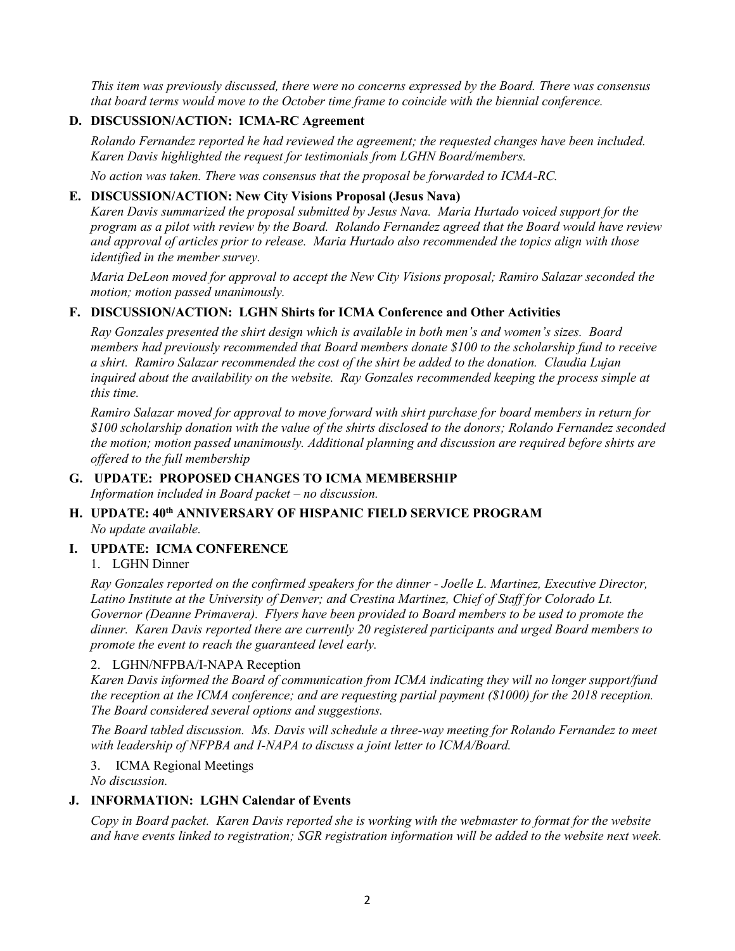*This item was previously discussed, there were no concerns expressed by the Board. There was consensus that board terms would move to the October time frame to coincide with the biennial conference.* 

# **D. DISCUSSION/ACTION: ICMA-RC Agreement**

*Rolando Fernandez reported he had reviewed the agreement; the requested changes have been included. Karen Davis highlighted the request for testimonials from LGHN Board/members.*

*No action was taken. There was consensus that the proposal be forwarded to ICMA-RC.*

#### **E. DISCUSSION/ACTION: New City Visions Proposal (Jesus Nava)**

*Karen Davis summarized the proposal submitted by Jesus Nava. Maria Hurtado voiced support for the program as a pilot with review by the Board. Rolando Fernandez agreed that the Board would have review and approval of articles prior to release. Maria Hurtado also recommended the topics align with those identified in the member survey.* 

*Maria DeLeon moved for approval to accept the New City Visions proposal; Ramiro Salazar seconded the motion; motion passed unanimously.*

#### **F. DISCUSSION/ACTION: LGHN Shirts for ICMA Conference and Other Activities**

*Ray Gonzales presented the shirt design which is available in both men's and women's sizes. Board members had previously recommended that Board members donate \$100 to the scholarship fund to receive a shirt. Ramiro Salazar recommended the cost of the shirt be added to the donation. Claudia Lujan inquired about the availability on the website. Ray Gonzales recommended keeping the process simple at this time.*

*Ramiro Salazar moved for approval to move forward with shirt purchase for board members in return for \$100 scholarship donation with the value of the shirts disclosed to the donors; Rolando Fernandez seconded the motion; motion passed unanimously. Additional planning and discussion are required before shirts are offered to the full membership*

#### **G. UPDATE: PROPOSED CHANGES TO ICMA MEMBERSHIP** *Information included in Board packet – no discussion.*

#### **H. UPDATE: 40th ANNIVERSARY OF HISPANIC FIELD SERVICE PROGRAM** *No update available.*

### **I. UPDATE: ICMA CONFERENCE**

### 1. LGHN Dinner

*Ray Gonzales reported on the confirmed speakers for the dinner - Joelle L. Martinez, Executive Director, Latino Institute at the University of Denver; and Crestina Martinez, Chief of Staff for Colorado Lt. Governor (Deanne Primavera). Flyers have been provided to Board members to be used to promote the dinner. Karen Davis reported there are currently 20 registered participants and urged Board members to promote the event to reach the guaranteed level early.*

#### 2. LGHN/NFPBA/I-NAPA Reception

*Karen Davis informed the Board of communication from ICMA indicating they will no longer support/fund the reception at the ICMA conference; and are requesting partial payment (\$1000) for the 2018 reception. The Board considered several options and suggestions.*

*The Board tabled discussion. Ms. Davis will schedule a three-way meeting for Rolando Fernandez to meet with leadership of NFPBA and I-NAPA to discuss a joint letter to ICMA/Board.*

#### 3. ICMA Regional Meetings

*No discussion.*

#### **J. INFORMATION: LGHN Calendar of Events**

*Copy in Board packet. Karen Davis reported she is working with the webmaster to format for the website and have events linked to registration; SGR registration information will be added to the website next week.*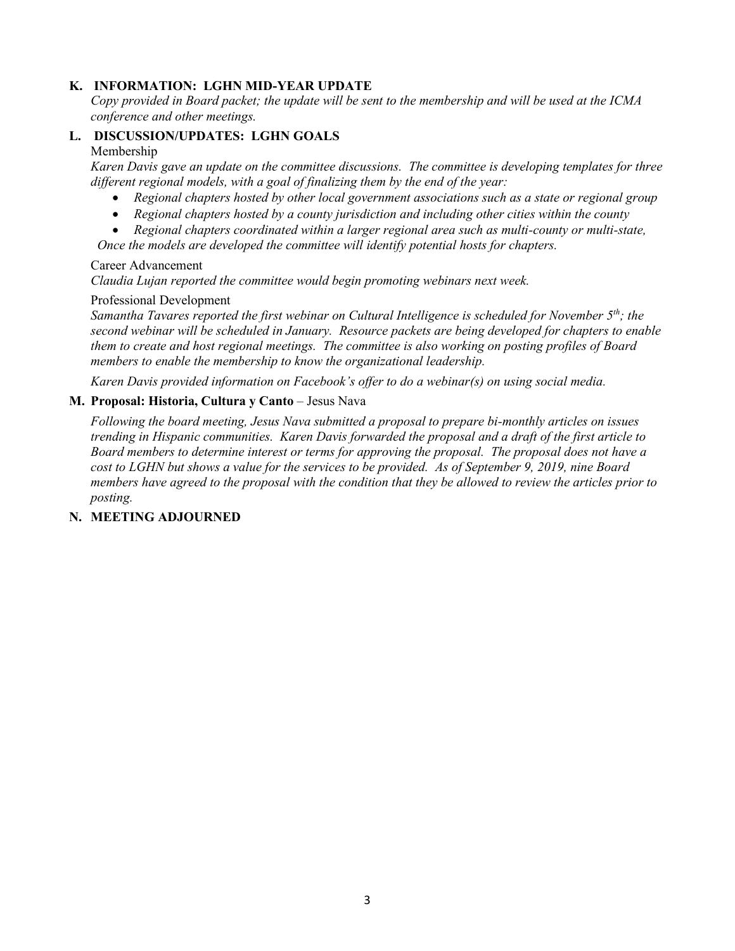## **K. INFORMATION: LGHN MID-YEAR UPDATE**

*Copy provided in Board packet; the update will be sent to the membership and will be used at the ICMA conference and other meetings.*

#### **L. DISCUSSION/UPDATES: LGHN GOALS**

#### Membership

*Karen Davis gave an update on the committee discussions. The committee is developing templates for three different regional models, with a goal of finalizing them by the end of the year:* 

- *Regional chapters hosted by other local government associations such as a state or regional group*
- *Regional chapters hosted by a county jurisdiction and including other cities within the county*
- *Regional chapters coordinated within a larger regional area such as multi-county or multi-state,*

 *Once the models are developed the committee will identify potential hosts for chapters.*

#### Career Advancement

*Claudia Lujan reported the committee would begin promoting webinars next week.*

#### Professional Development

*Samantha Tavares reported the first webinar on Cultural Intelligence is scheduled for November 5th; the second webinar will be scheduled in January. Resource packets are being developed for chapters to enable them to create and host regional meetings. The committee is also working on posting profiles of Board members to enable the membership to know the organizational leadership.*

*Karen Davis provided information on Facebook's offer to do a webinar(s) on using social media.*

#### **M. Proposal: Historia, Cultura y Canto** – Jesus Nava

*Following the board meeting, Jesus Nava submitted a proposal to prepare bi-monthly articles on issues trending in Hispanic communities. Karen Davis forwarded the proposal and a draft of the first article to Board members to determine interest or terms for approving the proposal. The proposal does not have a cost to LGHN but shows a value for the services to be provided. As of September 9, 2019, nine Board members have agreed to the proposal with the condition that they be allowed to review the articles prior to posting.*

#### **N. MEETING ADJOURNED**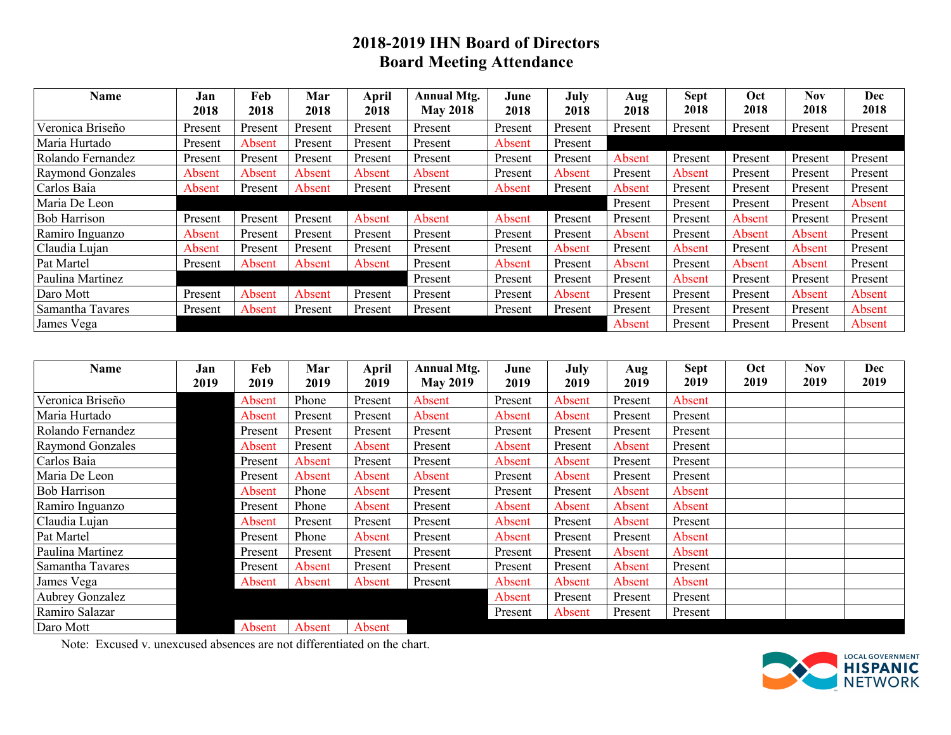# **2018-2019 IHN Board of Directors Board Meeting Attendance**

| Name                | Jan<br>2018 | Feb<br>2018 | Mar<br>2018 | <b>April</b><br>2018 | <b>Annual Mtg.</b><br><b>May 2018</b> | June<br>2018 | July<br>2018 | Aug<br>2018 | <b>Sept</b><br>2018 | Oct<br>2018 | <b>Nov</b><br>2018 | Dec<br>2018 |
|---------------------|-------------|-------------|-------------|----------------------|---------------------------------------|--------------|--------------|-------------|---------------------|-------------|--------------------|-------------|
| Veronica Briseño    | Present     | Present     | Present     | Present              | Present                               | Present      | Present      | Present     | Present             | Present     | Present            | Present     |
| Maria Hurtado       | Present     | Absent      | Present     | Present              | Present                               | Absent       | Present      |             |                     |             |                    |             |
| Rolando Fernandez   | Present     | Present     | Present     | Present              | Present                               | Present      | Present      | Absent      | Present             | Present     | Present            | Present     |
| Raymond Gonzales    | Absent      | Absent      | Absent      | Absent               | Absent                                | Present      | Absent       | Present     | Absent              | Present     | Present            | Present     |
| Carlos Baia         | Absent      | Present     | Absent      | Present              | Present                               | Absent       | Present      | Absent      | Present             | Present     | Present            | Present     |
| Maria De Leon       |             |             |             |                      |                                       |              |              | Present     | Present             | Present     | Present            | Absent      |
| <b>Bob Harrison</b> | Present     | Present     | Present     | Absent               | Absent                                | Absent       | Present      | Present     | Present             | Absent      | Present            | Present     |
| Ramiro Inguanzo     | Absent      | Present     | Present     | Present              | Present                               | Present      | Present      | Absent      | Present             | Absent      | Absent             | Present     |
| Claudia Lujan       | Absent      | Present     | Present     | Present              | Present                               | Present      | Absent       | Present     | Absent              | Present     | Absent             | Present     |
| Pat Martel          | Present     | Absent      | Absent      | Absent               | Present                               | Absent       | Present      | Absent      | Present             | Absent      | Absent             | Present     |
| Paulina Martinez    |             |             |             |                      | Present                               | Present      | Present      | Present     | Absent              | Present     | Present            | Present     |
| Daro Mott           | Present     | Absent      | Absent      | Present              | Present                               | Present      | Absent       | Present     | Present             | Present     | Absent             | Absent      |
| Samantha Tavares    | Present     | Absent      | Present     | Present              | Present                               | Present      | Present      | Present     | Present             | Present     | Present            | Absent      |
| James Vega          |             |             |             |                      |                                       |              |              | Absent      | Present             | Present     | Present            | Absent      |

| Name                    | Jan<br>2019 | Feb<br>2019 | Mar<br>2019 | <b>April</b><br>2019 | <b>Annual Mtg.</b><br><b>May 2019</b> | June<br>2019 | July<br>2019 | Aug<br>2019 | <b>Sept</b><br>2019 | Oct<br>2019 | <b>Nov</b><br>2019 | Dec<br>2019 |
|-------------------------|-------------|-------------|-------------|----------------------|---------------------------------------|--------------|--------------|-------------|---------------------|-------------|--------------------|-------------|
| Veronica Briseño        |             | Absent      | Phone       | Present              | Absent                                | Present      | Absent       | Present     | Absent              |             |                    |             |
| Maria Hurtado           |             | Absent      | Present     | Present              | Absent                                | Absent       | Absent       | Present     | Present             |             |                    |             |
| Rolando Fernandez       |             | Present     | Present     | Present              | Present                               | Present      | Present      | Present     | Present             |             |                    |             |
| <b>Raymond Gonzales</b> |             | Absent      | Present     | Absent               | Present                               | Absent       | Present      | Absent      | Present             |             |                    |             |
| Carlos Baia             |             | Present     | Absent      | Present              | Present                               | Absent       | Absent       | Present     | Present             |             |                    |             |
| Maria De Leon           |             | Present     | Absent      | Absent               | Absent                                | Present      | Absent       | Present     | Present             |             |                    |             |
| <b>Bob Harrison</b>     |             | Absent      | Phone       | Absent               | Present                               | Present      | Present      | Absent      | Absent              |             |                    |             |
| Ramiro Inguanzo         |             | Present     | Phone       | Absent               | Present                               | Absent       | Absent       | Absent      | Absent              |             |                    |             |
| Claudia Lujan           |             | Absent      | Present     | Present              | Present                               | Absent       | Present      | Absent      | Present             |             |                    |             |
| Pat Martel              |             | Present     | Phone       | Absent               | Present                               | Absent       | Present      | Present     | Absent              |             |                    |             |
| Paulina Martinez        |             | Present     | Present     | Present              | Present                               | Present      | Present      | Absent      | Absent              |             |                    |             |
| Samantha Tavares        |             | Present     | Absent      | Present              | Present                               | Present      | Present      | Absent      | Present             |             |                    |             |
| James Vega              |             | Absent      | Absent      | Absent               | Present                               | Absent       | Absent       | Absent      | Absent              |             |                    |             |
| Aubrey Gonzalez         |             |             |             |                      |                                       | Absent       | Present      | Present     | Present             |             |                    |             |
| Ramiro Salazar          |             |             |             |                      |                                       | Present      | Absent       | Present     | Present             |             |                    |             |
| Daro Mott               |             | Absent      | Absent      | Absent               |                                       |              |              |             |                     |             |                    |             |

Note: Excused v. unexcused absences are not differentiated on the chart.

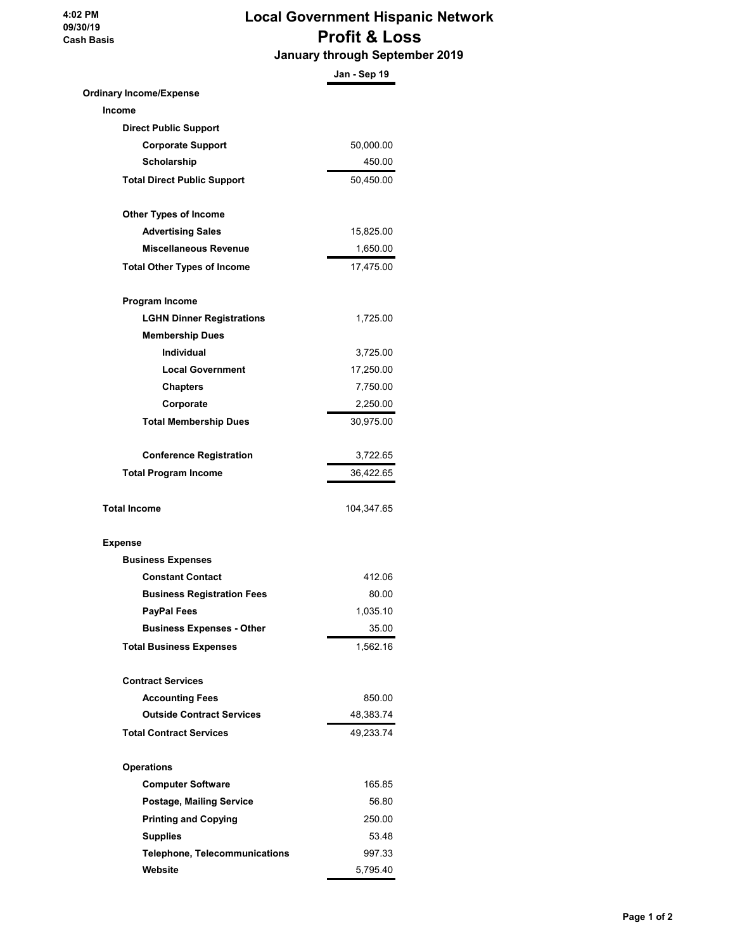**4:02 PM 09/30/19 Cash Basis**

# **Local Government Hispanic Network Profit & Loss**

 **January through September 2019**

|                                      | Jan - Sep 19 |
|--------------------------------------|--------------|
| <b>Ordinary Income/Expense</b>       |              |
| Income                               |              |
| <b>Direct Public Support</b>         |              |
| <b>Corporate Support</b>             | 50,000.00    |
| Scholarship                          | 450.00       |
| <b>Total Direct Public Support</b>   | 50,450.00    |
| <b>Other Types of Income</b>         |              |
| <b>Advertising Sales</b>             | 15,825.00    |
| <b>Miscellaneous Revenue</b>         | 1,650.00     |
| <b>Total Other Types of Income</b>   | 17,475.00    |
| Program Income                       |              |
| <b>LGHN Dinner Registrations</b>     | 1,725.00     |
| <b>Membership Dues</b>               |              |
| Individual                           | 3,725.00     |
| <b>Local Government</b>              | 17,250.00    |
| <b>Chapters</b>                      | 7,750.00     |
| Corporate                            | 2,250.00     |
| <b>Total Membership Dues</b>         | 30,975.00    |
| <b>Conference Registration</b>       | 3,722.65     |
| <b>Total Program Income</b>          | 36,422.65    |
| <b>Total Income</b>                  | 104,347.65   |
| <b>Expense</b>                       |              |
| <b>Business Expenses</b>             |              |
| <b>Constant Contact</b>              | 412.06       |
| <b>Business Registration Fees</b>    | 80.00        |
| <b>PayPal Fees</b>                   | 1,035.10     |
| <b>Business Expenses - Other</b>     | 35.00        |
| <b>Total Business Expenses</b>       | 1,562.16     |
| <b>Contract Services</b>             |              |
| <b>Accounting Fees</b>               | 850.00       |
| <b>Outside Contract Services</b>     | 48,383.74    |
| <b>Total Contract Services</b>       | 49,233.74    |
| <b>Operations</b>                    |              |
| <b>Computer Software</b>             | 165.85       |
| <b>Postage, Mailing Service</b>      | 56.80        |
| <b>Printing and Copying</b>          | 250.00       |
| <b>Supplies</b>                      | 53.48        |
| <b>Telephone, Telecommunications</b> | 997.33       |
| Website                              | 5,795.40     |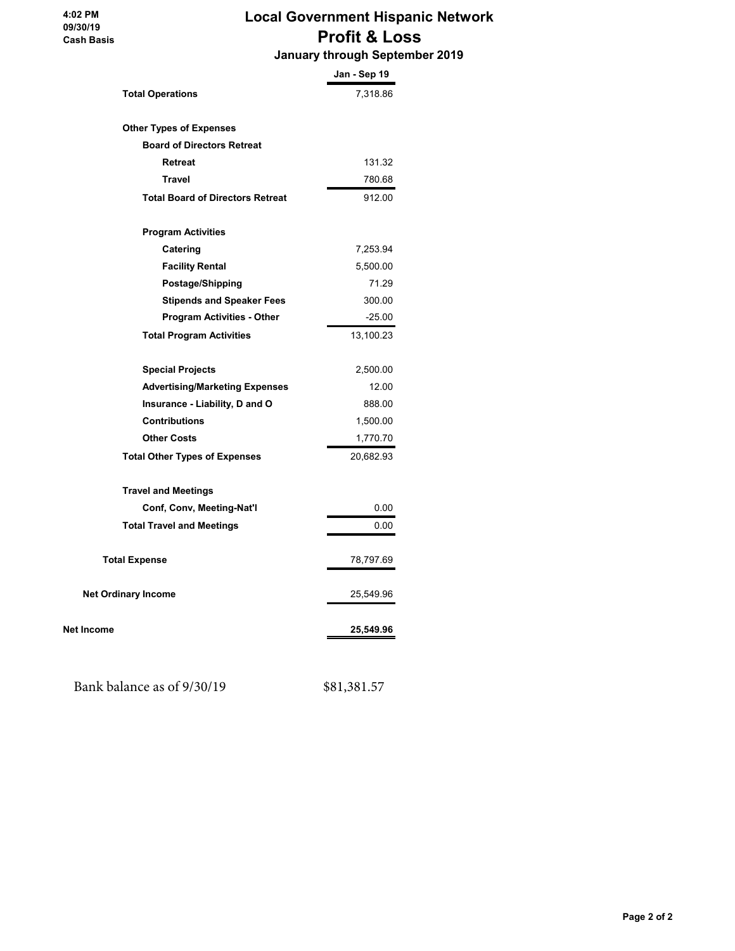#### **4:02 PM 09/30/19 Cash Basis**

# **Local Government Hispanic Network Profit & Loss**

 **January through September 2019**

|                                         | Jan - Sep 19 |
|-----------------------------------------|--------------|
| <b>Total Operations</b>                 | 7,318.86     |
|                                         |              |
| <b>Other Types of Expenses</b>          |              |
| <b>Board of Directors Retreat</b>       |              |
| <b>Retreat</b>                          | 131.32       |
| <b>Travel</b>                           | 780.68       |
| <b>Total Board of Directors Retreat</b> | 912.00       |
| <b>Program Activities</b>               |              |
| Catering                                | 7,253.94     |
| <b>Facility Rental</b>                  | 5,500.00     |
| Postage/Shipping                        | 71.29        |
| <b>Stipends and Speaker Fees</b>        | 300.00       |
| <b>Program Activities - Other</b>       | $-25.00$     |
| <b>Total Program Activities</b>         | 13,100.23    |
| <b>Special Projects</b>                 | 2,500.00     |
| <b>Advertising/Marketing Expenses</b>   | 12.00        |
| Insurance - Liability, D and O          | 888.00       |
| <b>Contributions</b>                    | 1,500.00     |
| <b>Other Costs</b>                      | 1,770.70     |
| <b>Total Other Types of Expenses</b>    | 20,682.93    |
| <b>Travel and Meetings</b>              |              |
| Conf, Conv, Meeting-Nat'l               | 0.00         |
| <b>Total Travel and Meetings</b>        | 0.00         |
| <b>Total Expense</b>                    | 78,797.69    |
| <b>Net Ordinary Income</b>              | 25,549.96    |
| <b>Net Income</b>                       | 25,549.96    |
|                                         |              |

Bank balance as of 9/30/19 \$81,381.57